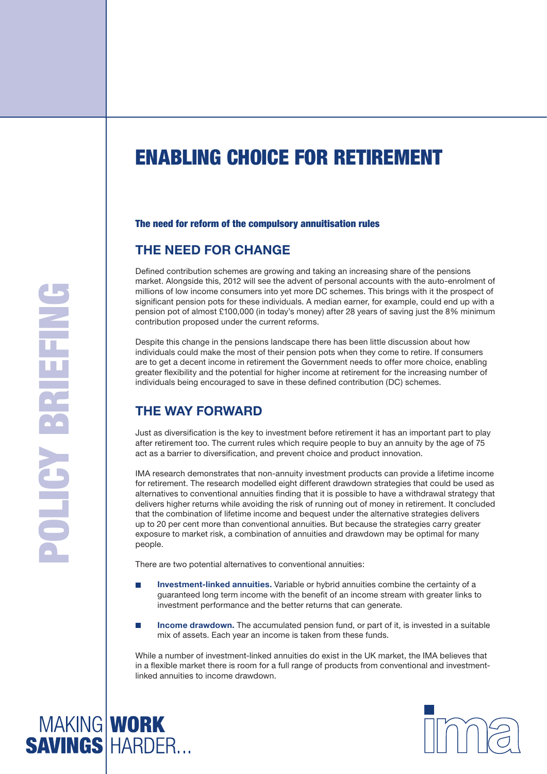# Enabling Choice for Retirement

#### The need for reform of the compulsory annuitisation rules

## **The need for change**

Defined contribution schemes are growing and taking an increasing share of the pensions market. Alongside this, 2012 will see the advent of personal accounts with the auto-enrolment of millions of low income consumers into yet more DC schemes. This brings with it the prospect of significant pension pots for these individuals. A median earner, for example, could end up with a pension pot of almost £100,000 (in today's money) after 28 years of saving just the 8% minimum contribution proposed under the current reforms.

Despite this change in the pensions landscape there has been little discussion about how individuals could make the most of their pension pots when they come to retire. If consumers are to get a decent income in retirement the Government needs to offer more choice, enabling greater flexibility and the potential for higher income at retirement for the increasing number of individuals being encouraged to save in these defined contribution (DC) schemes.

# **The way forward**

Just as diversification is the key to investment before retirement it has an important part to play after retirement too. The current rules which require people to buy an annuity by the age of 75 act as a barrier to diversification, and prevent choice and product innovation.

IMA research demonstrates that non-annuity investment products can provide a lifetime income for retirement. The research modelled eight different drawdown strategies that could be used as alternatives to conventional annuities finding that it is possible to have a withdrawal strategy that delivers higher returns while avoiding the risk of running out of money in retirement. It concluded that the combination of lifetime income and bequest under the alternative strategies delivers up to 20 per cent more than conventional annuities. But because the strategies carry greater exposure to market risk, a combination of annuities and drawdown may be optimal for many people.

There are two potential alternatives to conventional annuities:

- **Investment-linked annuities.** Variable or hybrid annuities combine the certainty of a guaranteed long term income with the benefit of an income stream with greater links to investment performance and the better returns that can generate.
- **Income drawdown.** The accumulated pension fund, or part of it, is invested in a suitable mix of assets. Each year an income is taken from these funds.

While a number of investment-linked annuities do exist in the UK market, the IMA believes that in a flexible market there is room for a full range of products from conventional and investmentlinked annuities to income drawdown.



**MAKING WORK<br>SAVINGS HARDER...**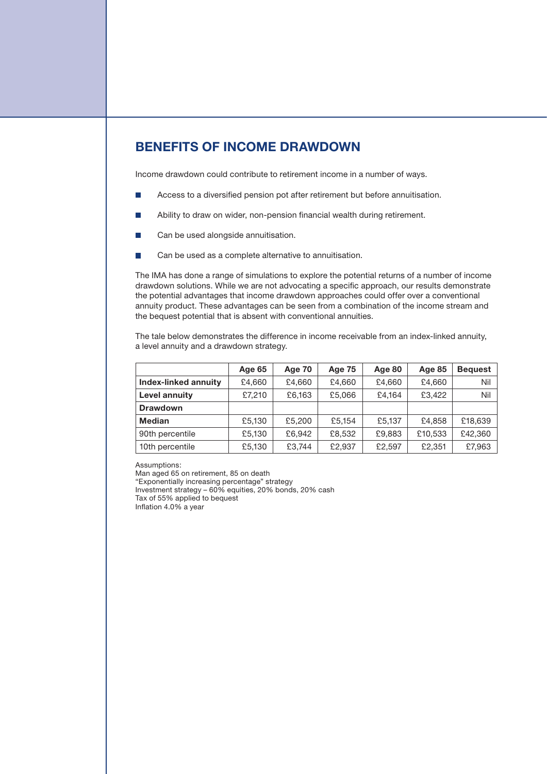# **Benefits of income drawdown**

Income drawdown could contribute to retirement income in a number of ways.

- **Access to a diversified pension pot after retirement but before annuitisation.**
- Ability to draw on wider, non-pension financial wealth during retirement.
- **Can be used alongside annuitisation.**
- Can be used as a complete alternative to annuitisation.

The IMA has done a range of simulations to explore the potential returns of a number of income drawdown solutions. While we are not advocating a specific approach, our results demonstrate the potential advantages that income drawdown approaches could offer over a conventional annuity product. These advantages can be seen from a combination of the income stream and the bequest potential that is absent with conventional annuities.

The tale below demonstrates the difference in income receivable from an index-linked annuity, a level annuity and a drawdown strategy.

|                      | Age 65 | Age 70 | Age 75 | Age 80 | Age 85  | <b>Bequest</b> |
|----------------------|--------|--------|--------|--------|---------|----------------|
| Index-linked annuity | £4,660 | £4.660 | £4.660 | £4.660 | £4,660  | Nil            |
| Level annuity        | £7,210 | £6,163 | £5,066 | £4.164 | £3,422  | Nil            |
| <b>Drawdown</b>      |        |        |        |        |         |                |
| <b>Median</b>        | £5,130 | £5,200 | £5.154 | £5,137 | £4,858  | £18,639        |
| 90th percentile      | £5,130 | £6.942 | £8,532 | £9,883 | £10,533 | £42,360        |
| 10th percentile      | £5,130 | £3.744 | £2,937 | £2,597 | £2,351  | £7,963         |

Assumptions:

Man aged 65 on retirement, 85 on death

"Exponentially increasing percentage" strategy

Investment strategy – 60% equities, 20% bonds, 20% cash Tax of 55% applied to bequest

Inflation 4.0% a year